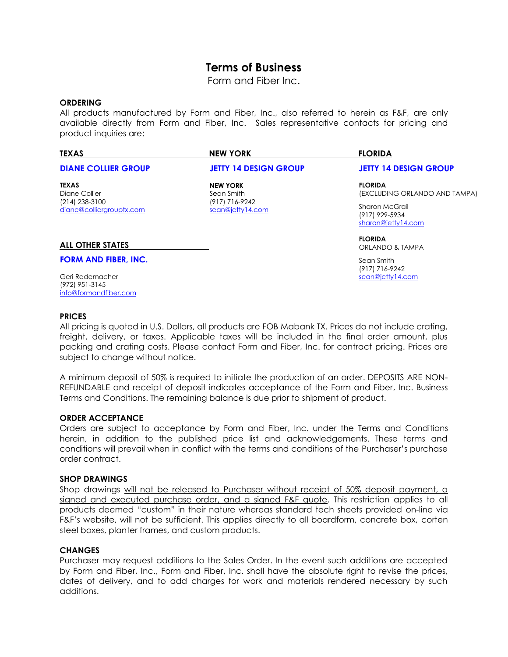# **Terms of Business**

Form and Fiber Inc.

## **ORDERING**

All products manufactured by Form and Fiber, Inc., also referred to herein as F&F, are only available directly from Form and Fiber, Inc. Sales representative contacts for pricing and product inquiries are:

| <b>TEXAS</b>                               | <b>NEW YORK</b>                                                     | <b>FLORIDA</b>                                         |
|--------------------------------------------|---------------------------------------------------------------------|--------------------------------------------------------|
| <b>DIANE COLLIER GROUP</b>                 | <b>JETTY 14 DESIGN GROUP</b>                                        | <b>JETTY 14 DESIGN GROUP</b>                           |
| <b>TEXAS</b><br>Diane Collier              | <b>NEW YORK</b><br>Sean Smith<br>(917) 716-9242<br>sean@jetty14.com | <b>FLORIDA</b><br>(EXCLUDING ORLANDO AND TAMPA)        |
| (214) 238-3100<br>diane@colliergrouptx.com |                                                                     | Sharon McGrail<br>(917) 929-5934<br>sharon@jetty14.com |
| ALL OTHER STATES                           |                                                                     | <b>FLORIDA</b><br>ORLANDO & TAMPA                      |

**FORM AND FIBER, INC.**

Geri Rademacher (972) 951-3145 [info@formandfiber.com](mailto:info@formandfiber.com) Sean Smith (917) 716-9242 [sean@jetty14.com](mailto:sean@jetty14.com)

## **PRICES**

All pricing is quoted in U.S. Dollars, all products are FOB Mabank TX. Prices do not include crating, freight, delivery, or taxes. Applicable taxes will be included in the final order amount, plus packing and crating costs. Please contact Form and Fiber, Inc. for contract pricing. Prices are subject to change without notice.

A minimum deposit of 50% is required to initiate the production of an order. DEPOSITS ARE NON-REFUNDABLE and receipt of deposit indicates acceptance of the Form and Fiber, Inc. Business Terms and Conditions. The remaining balance is due prior to shipment of product.

#### **ORDER ACCEPTANCE**

Orders are subject to acceptance by Form and Fiber, Inc. under the Terms and Conditions herein, in addition to the published price list and acknowledgements. These terms and conditions will prevail when in conflict with the terms and conditions of the Purchaser's purchase order contract.

#### **SHOP DRAWINGS**

Shop drawings will not be released to Purchaser without receipt of 50% deposit payment, a signed and executed purchase order, and a signed F&F quote. This restriction applies to all products deemed "custom" in their nature whereas standard tech sheets provided on-line via F&F's website, will not be sufficient. This applies directly to all boardform, concrete box, corten steel boxes, planter frames, and custom products.

## **CHANGES**

Purchaser may request additions to the Sales Order. In the event such additions are accepted by Form and Fiber, Inc., Form and Fiber, Inc. shall have the absolute right to revise the prices, dates of delivery, and to add charges for work and materials rendered necessary by such additions.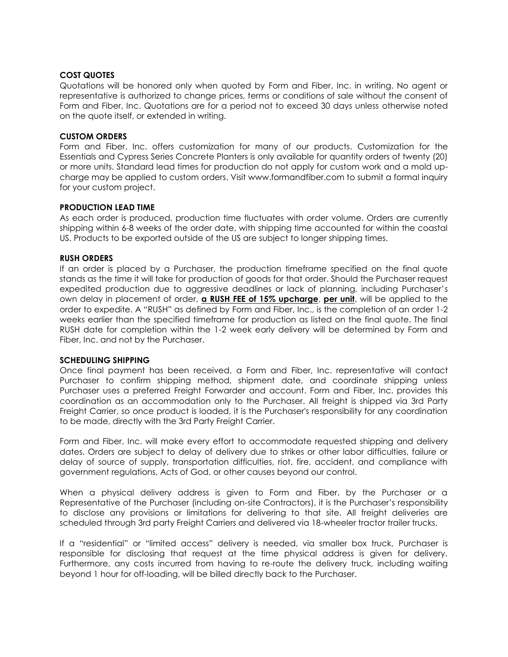## **COST QUOTES**

Quotations will be honored only when quoted by Form and Fiber, Inc. in writing. No agent or representative is authorized to change prices, terms or conditions of sale without the consent of Form and Fiber, Inc. Quotations are for a period not to exceed 30 days unless otherwise noted on the quote itself, or extended in writing.

## **CUSTOM ORDERS**

Form and Fiber, Inc. offers customization for many of our products. Customization for the Essentials and Cypress Series Concrete Planters is only available for quantity orders of twenty (20) or more units. Standard lead times for production do not apply for custom work and a mold upcharge may be applied to custom orders. Visit www.formandfiber.com to submit a formal inquiry for your custom project.

# **PRODUCTION LEAD TIME**

As each order is produced, production time fluctuates with order volume. Orders are currently shipping within 6-8 weeks of the order date, with shipping time accounted for within the coastal US. Products to be exported outside of the US are subject to longer shipping times.

## **RUSH ORDERS**

If an order is placed by a Purchaser, the production timeframe specified on the final quote stands as the time it will take for production of goods for that order. Should the Purchaser request expedited production due to aggressive deadlines or lack of planning, including Purchaser's own delay in placement of order, **a RUSH FEE of 15% upcharge**, **per unit**, will be applied to the order to expedite. A "RUSH" as defined by Form and Fiber, Inc., is the completion of an order 1-2 weeks earlier than the specified timeframe for production as listed on the final quote. The final RUSH date for completion within the 1-2 week early delivery will be determined by Form and Fiber, Inc. and not by the Purchaser.

# **SCHEDULING SHIPPING**

Once final payment has been received, a Form and Fiber, Inc. representative will contact Purchaser to confirm shipping method, shipment date, and coordinate shipping unless Purchaser uses a preferred Freight Forwarder and account. Form and Fiber, Inc. provides this coordination as an accommodation only to the Purchaser. All freight is shipped via 3rd Party Freight Carrier, so once product is loaded, it is the Purchaser's responsibility for any coordination to be made, directly with the 3rd Party Freight Carrier.

Form and Fiber, Inc. will make every effort to accommodate requested shipping and delivery dates. Orders are subject to delay of delivery due to strikes or other labor difficulties, failure or delay of source of supply, transportation difficulties, riot, fire, accident, and compliance with government regulations, Acts of God, or other causes beyond our control.

When a physical delivery address is given to Form and Fiber, by the Purchaser or a Representative of the Purchaser (including on-site Contractors), it is the Purchaser's responsibility to disclose any provisions or limitations for delivering to that site. All freight deliveries are scheduled through 3rd party Freight Carriers and delivered via 18-wheeler tractor trailer trucks.

If a "residential" or "limited access" delivery is needed, via smaller box truck, Purchaser is responsible for disclosing that request at the time physical address is given for delivery. Furthermore, any costs incurred from having to re-route the delivery truck, including waiting beyond 1 hour for off-loading, will be billed directly back to the Purchaser.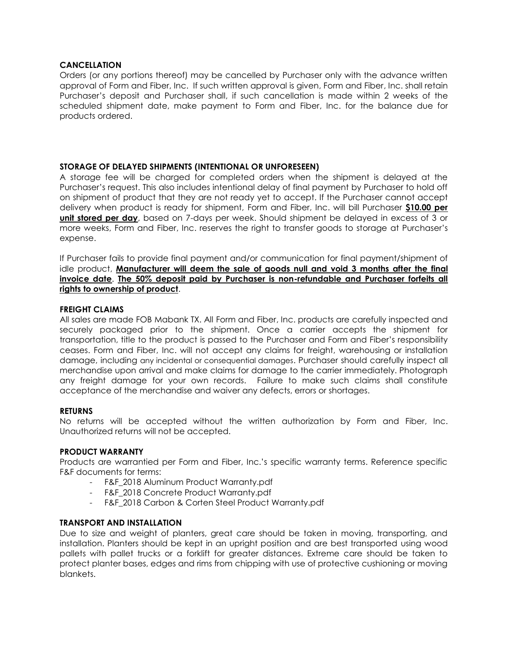# **CANCELLATION**

Orders (or any portions thereof) may be cancelled by Purchaser only with the advance written approval of Form and Fiber, Inc. If such written approval is given, Form and Fiber, Inc. shall retain Purchaser's deposit and Purchaser shall, if such cancellation is made within 2 weeks of the scheduled shipment date, make payment to Form and Fiber, Inc. for the balance due for products ordered.

# **STORAGE OF DELAYED SHIPMENTS (INTENTIONAL OR UNFORESEEN)**

A storage fee will be charged for completed orders when the shipment is delayed at the Purchaser's request. This also includes intentional delay of final payment by Purchaser to hold off on shipment of product that they are not ready yet to accept. If the Purchaser cannot accept delivery when product is ready for shipment, Form and Fiber, Inc. will bill Purchaser **\$10.00 per unit stored per day**, based on 7-days per week. Should shipment be delayed in excess of 3 or more weeks, Form and Fiber, Inc. reserves the right to transfer goods to storage at Purchaser's expense.

If Purchaser fails to provide final payment and/or communication for final payment/shipment of idle product, **Manufacturer will deem the sale of goods null and void 3 months after the final invoice date**. **The 50% deposit paid by Purchaser is non-refundable and Purchaser forfeits all rights to ownership of product**.

## **FREIGHT CLAIMS**

All sales are made FOB Mabank TX. All Form and Fiber, Inc. products are carefully inspected and securely packaged prior to the shipment. Once a carrier accepts the shipment for transportation, title to the product is passed to the Purchaser and Form and Fiber's responsibility ceases. Form and Fiber, Inc. will not accept any claims for freight, warehousing or installation damage, including any incidental or consequential damages. Purchaser should carefully inspect all merchandise upon arrival and make claims for damage to the carrier immediately. Photograph any freight damage for your own records. Failure to make such claims shall constitute acceptance of the merchandise and waiver any defects, errors or shortages.

# **RETURNS**

No returns will be accepted without the written authorization by Form and Fiber, Inc. Unauthorized returns will not be accepted.

#### **PRODUCT WARRANTY**

Products are warrantied per Form and Fiber, Inc.'s specific warranty terms. Reference specific F&F documents for terms:

- F&F\_2018 Aluminum Product Warranty.pdf
- F&F 2018 Concrete Product Warranty.pdf
- F&F\_2018 Carbon & Corten Steel Product Warranty.pdf

# **TRANSPORT AND INSTALLATION**

Due to size and weight of planters, great care should be taken in moving, transporting, and installation. Planters should be kept in an upright position and are best transported using wood pallets with pallet trucks or a forklift for greater distances. Extreme care should be taken to protect planter bases, edges and rims from chipping with use of protective cushioning or moving blankets.